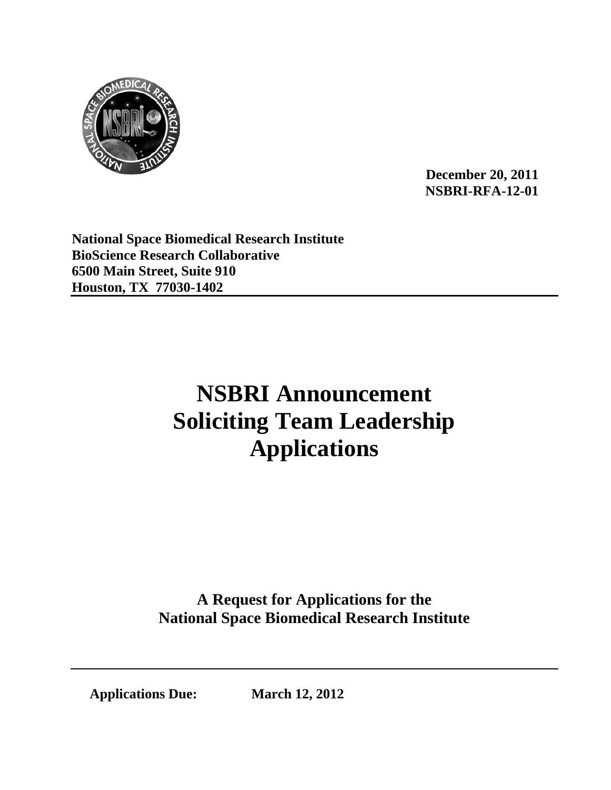

**December 20, 2011 NSBRI-RFA-12-01** 

**National Space Biomedical Research Institute BioScience Research Collaborative 6500 Main Street, Suite 910 Houston, TX 77030-1402** 

# **NSBRI Announcement Soliciting Team Leadership Applications**

**A Request for Applications for the National Space Biomedical Research Institute**

**Applications Due: March 12, 2012**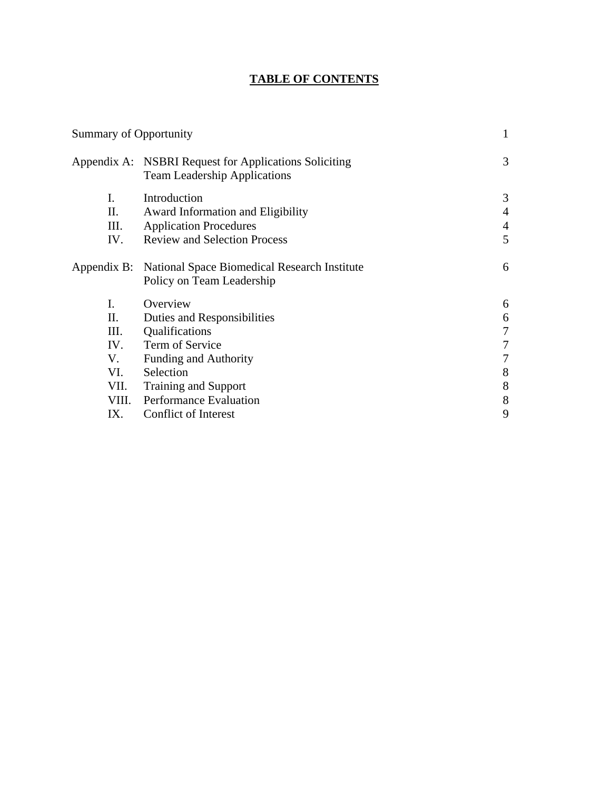# **TABLE OF CONTENTS**

| <b>Summary of Opportunity</b> |                                                                                              | $\mathbf{1}$   |
|-------------------------------|----------------------------------------------------------------------------------------------|----------------|
|                               | Appendix A: NSBRI Request for Applications Soliciting<br><b>Team Leadership Applications</b> | 3              |
| I.                            | Introduction                                                                                 | 3              |
| II.                           | Award Information and Eligibility                                                            | $\overline{4}$ |
| III.                          | <b>Application Procedures</b>                                                                | $\overline{4}$ |
| IV.                           | <b>Review and Selection Process</b>                                                          | 5              |
|                               | Appendix B: National Space Biomedical Research Institute<br>Policy on Team Leadership        | 6              |
| I.                            | Overview                                                                                     | 6              |
| П.                            | Duties and Responsibilities                                                                  | 6              |
| III.                          | Qualifications                                                                               | 7              |
| IV.                           | Term of Service                                                                              |                |
| V.                            | <b>Funding and Authority</b>                                                                 | $\tau$         |
| VI.                           | Selection                                                                                    | 8              |
| VII.                          | <b>Training and Support</b>                                                                  | 8              |
| VIII.                         | <b>Performance Evaluation</b>                                                                | 8              |
| IX.                           | Conflict of Interest                                                                         | 9              |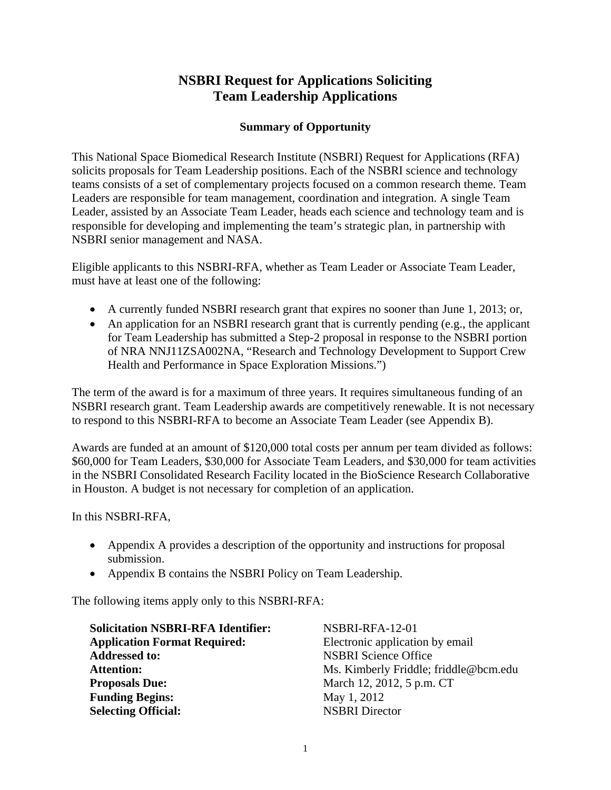# **NSBRI Request for Applications Soliciting Team Leadership Applications**

# **Summary of Opportunity**

This National Space Biomedical Research Institute (NSBRI) Request for Applications (RFA) solicits proposals for Team Leadership positions. Each of the NSBRI science and technology teams consists of a set of complementary projects focused on a common research theme. Team Leaders are responsible for team management, coordination and integration. A single Team Leader, assisted by an Associate Team Leader, heads each science and technology team and is responsible for developing and implementing the team's strategic plan, in partnership with NSBRI senior management and NASA.

Eligible applicants to this NSBRI-RFA, whether as Team Leader or Associate Team Leader, must have at least one of the following:

- A currently funded NSBRI research grant that expires no sooner than June 1, 2013; or,
- An application for an NSBRI research grant that is currently pending (e.g., the applicant for Team Leadership has submitted a Step-2 proposal in response to the NSBRI portion of NRA NNJ11ZSA002NA, "Research and Technology Development to Support Crew Health and Performance in Space Exploration Missions.")

The term of the award is for a maximum of three years. It requires simultaneous funding of an NSBRI research grant. Team Leadership awards are competitively renewable. It is not necessary to respond to this NSBRI-RFA to become an Associate Team Leader (see Appendix B).

Awards are funded at an amount of \$120,000 total costs per annum per team divided as follows: \$60,000 for Team Leaders, \$30,000 for Associate Team Leaders, and \$30,000 for team activities in the NSBRI Consolidated Research Facility located in the BioScience Research Collaborative in Houston. A budget is not necessary for completion of an application.

In this NSBRI-RFA,

- Appendix A provides a description of the opportunity and instructions for proposal submission.
- Appendix B contains the NSBRI Policy on Team Leadership.

The following items apply only to this NSBRI-RFA:

| <b>Solicitation NSBRI-RFA Identifier:</b> | NSBRI-RFA-12-01                       |
|-------------------------------------------|---------------------------------------|
| <b>Application Format Required:</b>       | Electronic application by email       |
| <b>Addressed to:</b>                      | <b>NSBRI Science Office</b>           |
| <b>Attention:</b>                         | Ms. Kimberly Friddle; friddle@bcm.edu |
| <b>Proposals Due:</b>                     | March 12, 2012, 5 p.m. CT             |
| <b>Funding Begins:</b>                    | May 1, 2012                           |
| <b>Selecting Official:</b>                | <b>NSBRI</b> Director                 |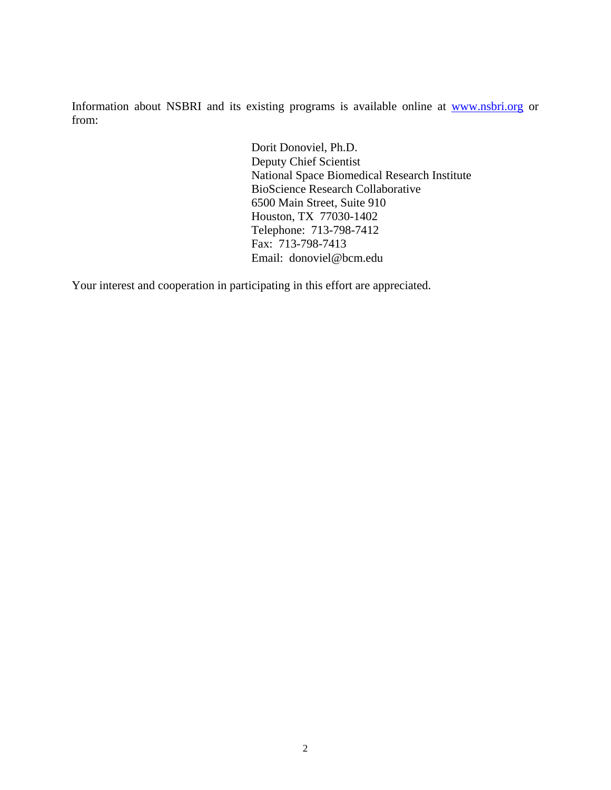Information about NSBRI and its existing programs is available online at www.nsbri.org or from:

> Dorit Donoviel, Ph.D. Deputy Chief Scientist National Space Biomedical Research Institute BioScience Research Collaborative 6500 Main Street, Suite 910 Houston, TX 77030-1402 Telephone: 713-798-7412 Fax: 713-798-7413 Email: donoviel@bcm.edu

Your interest and cooperation in participating in this effort are appreciated.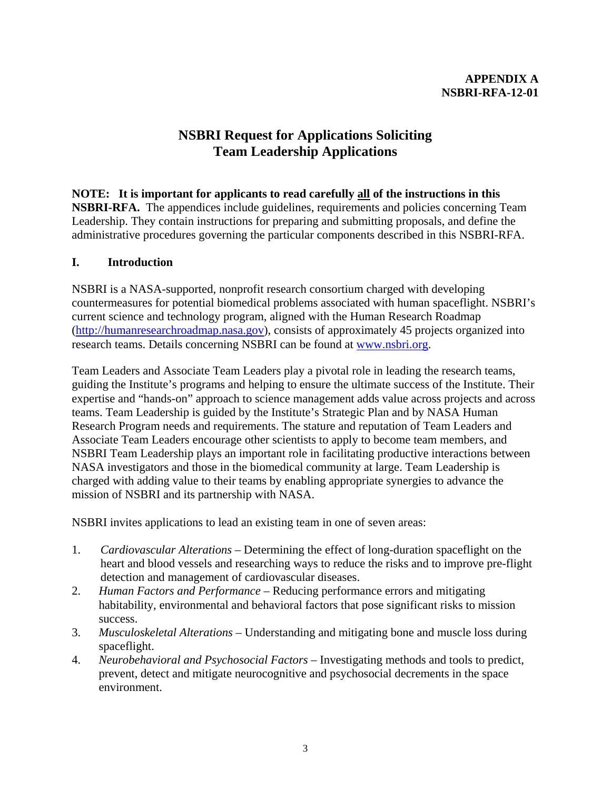# **NSBRI Request for Applications Soliciting Team Leadership Applications**

# **NOTE: It is important for applicants to read carefully all of the instructions in this**

**NSBRI-RFA.** The appendices include guidelines, requirements and policies concerning Team Leadership. They contain instructions for preparing and submitting proposals, and define the administrative procedures governing the particular components described in this NSBRI-RFA.

# **I. Introduction**

NSBRI is a NASA-supported, nonprofit research consortium charged with developing countermeasures for potential biomedical problems associated with human spaceflight. NSBRI's current science and technology program, aligned with the Human Research Roadmap (http://humanresearchroadmap.nasa.gov), consists of approximately 45 projects organized into research teams. Details concerning NSBRI can be found at www.nsbri.org.

Team Leaders and Associate Team Leaders play a pivotal role in leading the research teams, guiding the Institute's programs and helping to ensure the ultimate success of the Institute. Their expertise and "hands-on" approach to science management adds value across projects and across teams. Team Leadership is guided by the Institute's Strategic Plan and by NASA Human Research Program needs and requirements. The stature and reputation of Team Leaders and Associate Team Leaders encourage other scientists to apply to become team members, and NSBRI Team Leadership plays an important role in facilitating productive interactions between NASA investigators and those in the biomedical community at large. Team Leadership is charged with adding value to their teams by enabling appropriate synergies to advance the mission of NSBRI and its partnership with NASA.

NSBRI invites applications to lead an existing team in one of seven areas:

- 1. *Cardiovascular Alterations* Determining the effect of long-duration spaceflight on the heart and blood vessels and researching ways to reduce the risks and to improve pre-flight detection and management of cardiovascular diseases.
- 2. *Human Factors and Performance*  Reducing performance errors and mitigating habitability, environmental and behavioral factors that pose significant risks to mission success.
- 3. *Musculoskeletal Alterations*  Understanding and mitigating bone and muscle loss during spaceflight.
- 4. *Neurobehavioral and Psychosocial Factors* Investigating methods and tools to predict, prevent, detect and mitigate neurocognitive and psychosocial decrements in the space environment.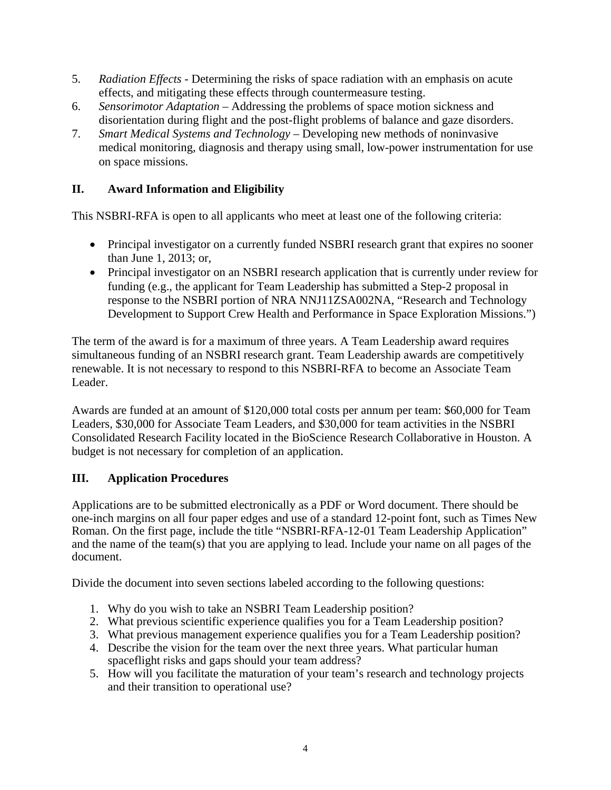- 5. *Radiation Effects* Determining the risks of space radiation with an emphasis on acute effects, and mitigating these effects through countermeasure testing.
- 6. *Sensorimotor Adaptation* Addressing the problems of space motion sickness and disorientation during flight and the post-flight problems of balance and gaze disorders.
- 7. *Smart Medical Systems and Technology*  Developing new methods of noninvasive medical monitoring, diagnosis and therapy using small, low-power instrumentation for use on space missions.

# **II. Award Information and Eligibility**

This NSBRI-RFA is open to all applicants who meet at least one of the following criteria:

- Principal investigator on a currently funded NSBRI research grant that expires no sooner than June 1, 2013; or,
- Principal investigator on an NSBRI research application that is currently under review for funding (e.g., the applicant for Team Leadership has submitted a Step-2 proposal in response to the NSBRI portion of NRA NNJ11ZSA002NA, "Research and Technology Development to Support Crew Health and Performance in Space Exploration Missions.")

The term of the award is for a maximum of three years. A Team Leadership award requires simultaneous funding of an NSBRI research grant. Team Leadership awards are competitively renewable. It is not necessary to respond to this NSBRI-RFA to become an Associate Team Leader.

Awards are funded at an amount of \$120,000 total costs per annum per team: \$60,000 for Team Leaders, \$30,000 for Associate Team Leaders, and \$30,000 for team activities in the NSBRI Consolidated Research Facility located in the BioScience Research Collaborative in Houston. A budget is not necessary for completion of an application.

# **III. Application Procedures**

Applications are to be submitted electronically as a PDF or Word document. There should be one-inch margins on all four paper edges and use of a standard 12-point font, such as Times New Roman. On the first page, include the title "NSBRI-RFA-12-01 Team Leadership Application" and the name of the team(s) that you are applying to lead. Include your name on all pages of the document.

Divide the document into seven sections labeled according to the following questions:

- 1. Why do you wish to take an NSBRI Team Leadership position?
- 2. What previous scientific experience qualifies you for a Team Leadership position?
- 3. What previous management experience qualifies you for a Team Leadership position?
- 4. Describe the vision for the team over the next three years. What particular human spaceflight risks and gaps should your team address?
- 5. How will you facilitate the maturation of your team's research and technology projects and their transition to operational use?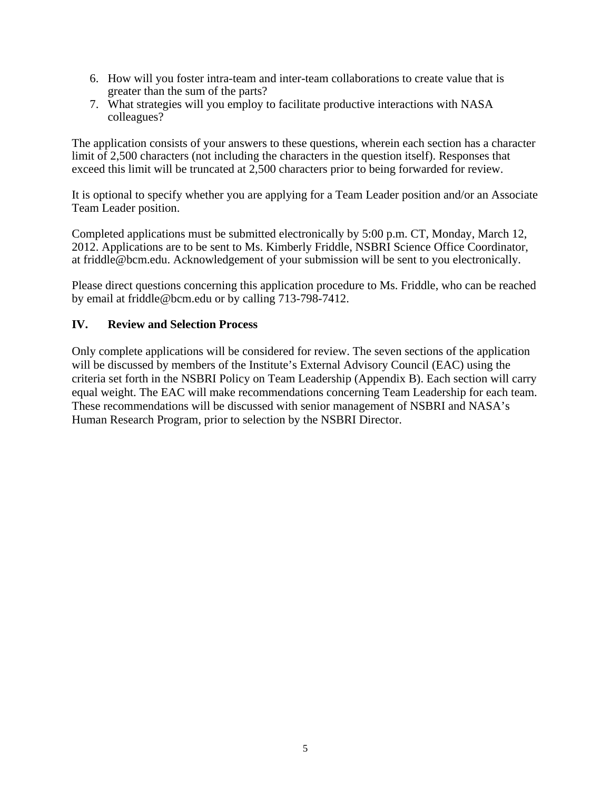- 6. How will you foster intra-team and inter-team collaborations to create value that is greater than the sum of the parts?
- 7. What strategies will you employ to facilitate productive interactions with NASA colleagues?

The application consists of your answers to these questions, wherein each section has a character limit of 2,500 characters (not including the characters in the question itself). Responses that exceed this limit will be truncated at 2,500 characters prior to being forwarded for review.

It is optional to specify whether you are applying for a Team Leader position and/or an Associate Team Leader position.

Completed applications must be submitted electronically by 5:00 p.m. CT, Monday, March 12, 2012. Applications are to be sent to Ms. Kimberly Friddle, NSBRI Science Office Coordinator, at friddle@bcm.edu. Acknowledgement of your submission will be sent to you electronically.

Please direct questions concerning this application procedure to Ms. Friddle, who can be reached by email at friddle@bcm.edu or by calling 713-798-7412.

# **IV. Review and Selection Process**

Only complete applications will be considered for review. The seven sections of the application will be discussed by members of the Institute's External Advisory Council (EAC) using the criteria set forth in the NSBRI Policy on Team Leadership (Appendix B). Each section will carry equal weight. The EAC will make recommendations concerning Team Leadership for each team. These recommendations will be discussed with senior management of NSBRI and NASA's Human Research Program, prior to selection by the NSBRI Director.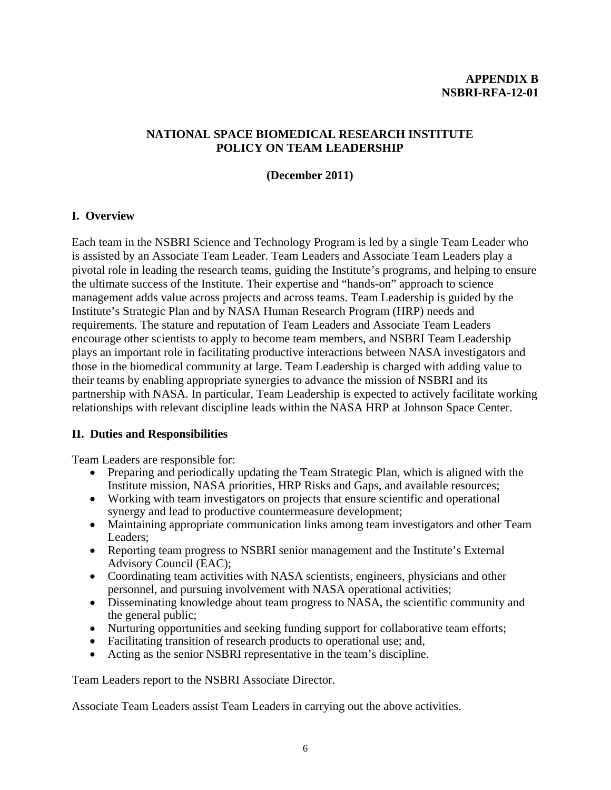#### **APPENDIX B NSBRI-RFA-12-01**

# **NATIONAL SPACE BIOMEDICAL RESEARCH INSTITUTE POLICY ON TEAM LEADERSHIP**

#### **(December 2011)**

#### **I. Overview**

Each team in the NSBRI Science and Technology Program is led by a single Team Leader who is assisted by an Associate Team Leader. Team Leaders and Associate Team Leaders play a pivotal role in leading the research teams, guiding the Institute's programs, and helping to ensure the ultimate success of the Institute. Their expertise and "hands-on" approach to science management adds value across projects and across teams. Team Leadership is guided by the Institute's Strategic Plan and by NASA Human Research Program (HRP) needs and requirements. The stature and reputation of Team Leaders and Associate Team Leaders encourage other scientists to apply to become team members, and NSBRI Team Leadership plays an important role in facilitating productive interactions between NASA investigators and those in the biomedical community at large. Team Leadership is charged with adding value to their teams by enabling appropriate synergies to advance the mission of NSBRI and its partnership with NASA. In particular, Team Leadership is expected to actively facilitate working relationships with relevant discipline leads within the NASA HRP at Johnson Space Center.

#### **II. Duties and Responsibilities**

Team Leaders are responsible for:

- Preparing and periodically updating the Team Strategic Plan, which is aligned with the Institute mission, NASA priorities, HRP Risks and Gaps, and available resources;
- Working with team investigators on projects that ensure scientific and operational synergy and lead to productive countermeasure development;
- Maintaining appropriate communication links among team investigators and other Team Leaders;
- Reporting team progress to NSBRI senior management and the Institute's External Advisory Council (EAC);
- Coordinating team activities with NASA scientists, engineers, physicians and other personnel, and pursuing involvement with NASA operational activities;
- Disseminating knowledge about team progress to NASA, the scientific community and the general public;
- Nurturing opportunities and seeking funding support for collaborative team efforts;
- Facilitating transition of research products to operational use; and,
- Acting as the senior NSBRI representative in the team's discipline.

Team Leaders report to the NSBRI Associate Director.

Associate Team Leaders assist Team Leaders in carrying out the above activities.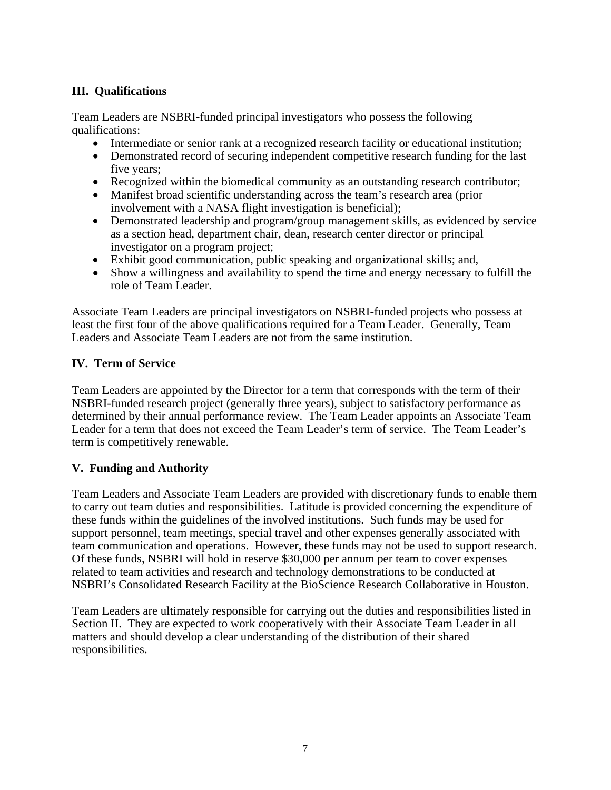# **III. Qualifications**

Team Leaders are NSBRI-funded principal investigators who possess the following qualifications:

- Intermediate or senior rank at a recognized research facility or educational institution;
- Demonstrated record of securing independent competitive research funding for the last five years;
- Recognized within the biomedical community as an outstanding research contributor;
- Manifest broad scientific understanding across the team's research area (prior involvement with a NASA flight investigation is beneficial);
- Demonstrated leadership and program/group management skills, as evidenced by service as a section head, department chair, dean, research center director or principal investigator on a program project;
- Exhibit good communication, public speaking and organizational skills; and,
- Show a willingness and availability to spend the time and energy necessary to fulfill the role of Team Leader.

Associate Team Leaders are principal investigators on NSBRI-funded projects who possess at least the first four of the above qualifications required for a Team Leader. Generally, Team Leaders and Associate Team Leaders are not from the same institution.

# **IV. Term of Service**

Team Leaders are appointed by the Director for a term that corresponds with the term of their NSBRI-funded research project (generally three years), subject to satisfactory performance as determined by their annual performance review. The Team Leader appoints an Associate Team Leader for a term that does not exceed the Team Leader's term of service. The Team Leader's term is competitively renewable.

# **V. Funding and Authority**

Team Leaders and Associate Team Leaders are provided with discretionary funds to enable them to carry out team duties and responsibilities. Latitude is provided concerning the expenditure of these funds within the guidelines of the involved institutions. Such funds may be used for support personnel, team meetings, special travel and other expenses generally associated with team communication and operations. However, these funds may not be used to support research. Of these funds, NSBRI will hold in reserve \$30,000 per annum per team to cover expenses related to team activities and research and technology demonstrations to be conducted at NSBRI's Consolidated Research Facility at the BioScience Research Collaborative in Houston.

Team Leaders are ultimately responsible for carrying out the duties and responsibilities listed in Section II. They are expected to work cooperatively with their Associate Team Leader in all matters and should develop a clear understanding of the distribution of their shared responsibilities.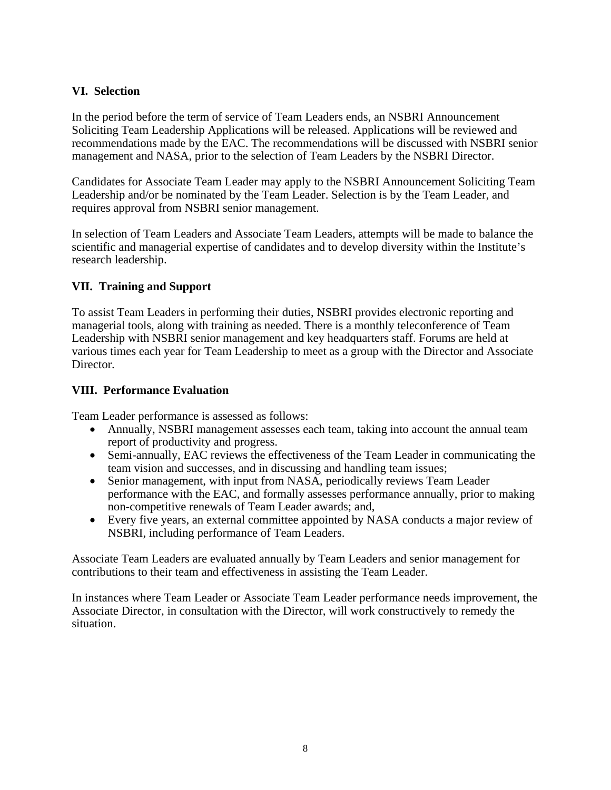# **VI. Selection**

In the period before the term of service of Team Leaders ends, an NSBRI Announcement Soliciting Team Leadership Applications will be released. Applications will be reviewed and recommendations made by the EAC. The recommendations will be discussed with NSBRI senior management and NASA, prior to the selection of Team Leaders by the NSBRI Director.

Candidates for Associate Team Leader may apply to the NSBRI Announcement Soliciting Team Leadership and/or be nominated by the Team Leader. Selection is by the Team Leader, and requires approval from NSBRI senior management.

In selection of Team Leaders and Associate Team Leaders, attempts will be made to balance the scientific and managerial expertise of candidates and to develop diversity within the Institute's research leadership.

# **VII. Training and Support**

To assist Team Leaders in performing their duties, NSBRI provides electronic reporting and managerial tools, along with training as needed. There is a monthly teleconference of Team Leadership with NSBRI senior management and key headquarters staff. Forums are held at various times each year for Team Leadership to meet as a group with the Director and Associate Director.

#### **VIII. Performance Evaluation**

Team Leader performance is assessed as follows:

- Annually, NSBRI management assesses each team, taking into account the annual team report of productivity and progress.
- Semi-annually, EAC reviews the effectiveness of the Team Leader in communicating the team vision and successes, and in discussing and handling team issues;
- Senior management, with input from NASA, periodically reviews Team Leader performance with the EAC, and formally assesses performance annually, prior to making non-competitive renewals of Team Leader awards; and,
- Every five years, an external committee appointed by NASA conducts a major review of NSBRI, including performance of Team Leaders.

Associate Team Leaders are evaluated annually by Team Leaders and senior management for contributions to their team and effectiveness in assisting the Team Leader.

In instances where Team Leader or Associate Team Leader performance needs improvement, the Associate Director, in consultation with the Director, will work constructively to remedy the situation.